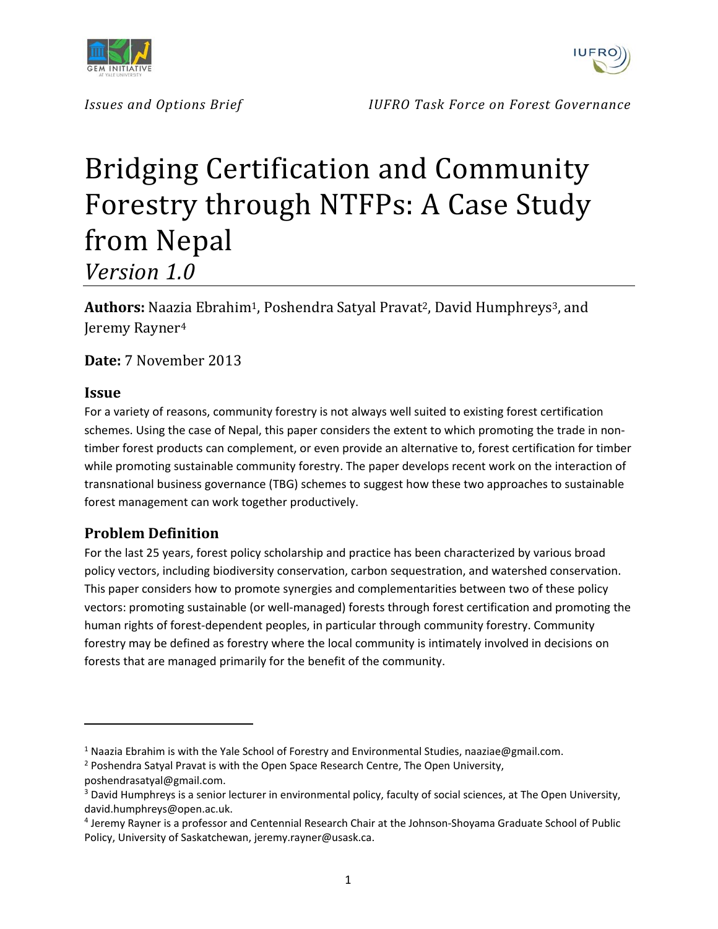



# Bridging Certification and Community Forestry through NTFPs: A Case Study from Nepal *Version 1.0*

**Authors:** Naazia Ebrahim<sup>1</sup>, Poshendra Satyal Pravat<sup>2</sup>, David Humphreys<sup>3</sup>, and Jeremy Rayner<sup>4</sup>

**Date:** 7 November 2013

### **Issue**

For a variety of reasons, community forestry is not always well suited to existing forest certification schemes. Using the case of Nepal, this paper considers the extent to which promoting the trade in non‐ timber forest products can complement, or even provide an alternative to, forest certification for timber while promoting sustainable community forestry. The paper develops recent work on the interaction of transnational business governance (TBG) schemes to suggest how these two approaches to sustainable forest management can work together productively.

# **Problem Definition**

For the last 25 years, forest policy scholarship and practice has been characterized by various broad policy vectors, including biodiversity conservation, carbon sequestration, and watershed conservation. This paper considers how to promote synergies and complementarities between two of these policy vectors: promoting sustainable (or well‐managed) forests through forest certification and promoting the human rights of forest-dependent peoples, in particular through community forestry. Community forestry may be defined as forestry where the local community is intimately involved in decisions on forests that are managed primarily for the benefit of the community.

<sup>&</sup>lt;sup>1</sup> Naazia Ebrahim is with the Yale School of Forestry and Environmental Studies, naaziae@gmail.com.

<sup>&</sup>lt;sup>2</sup> Poshendra Satyal Pravat is with the Open Space Research Centre, The Open University, poshendrasatyal@gmail.com.

<sup>&</sup>lt;sup>3</sup> David Humphreys is a senior lecturer in environmental policy, faculty of social sciences, at The Open University, david.humphreys@open.ac.uk.

<sup>4</sup> Jeremy Rayner is a professor and Centennial Research Chair at the Johnson‐Shoyama Graduate School of Public Policy, University of Saskatchewan, jeremy.rayner@usask.ca.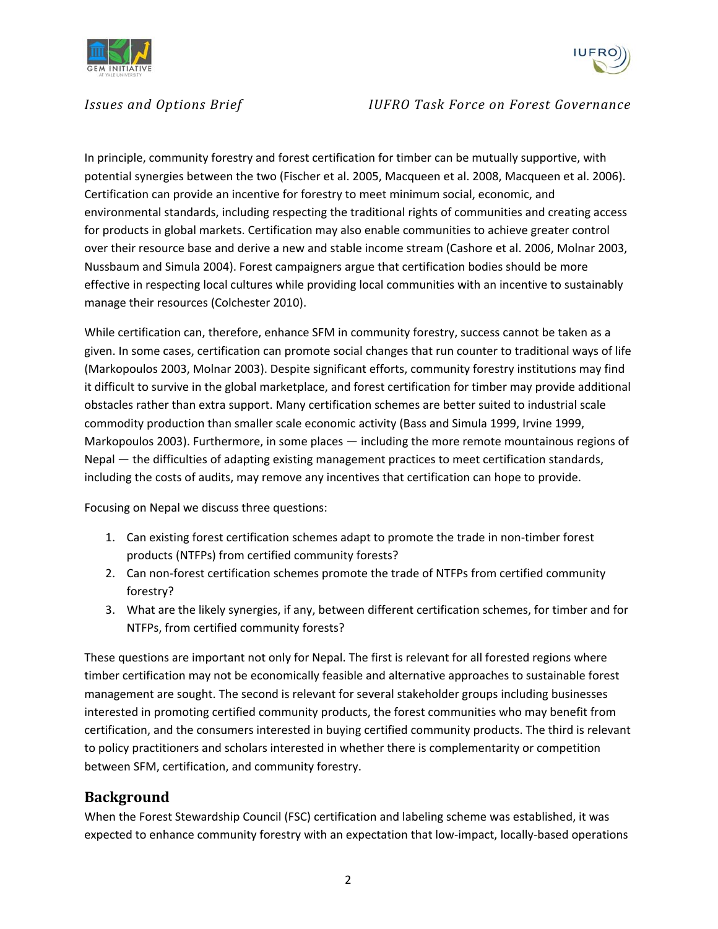



In principle, community forestry and forest certification for timber can be mutually supportive, with potential synergies between the two (Fischer et al. 2005, Macqueen et al. 2008, Macqueen et al. 2006). Certification can provide an incentive for forestry to meet minimum social, economic, and environmental standards, including respecting the traditional rights of communities and creating access for products in global markets. Certification may also enable communities to achieve greater control over their resource base and derive a new and stable income stream (Cashore et al. 2006, Molnar 2003, Nussbaum and Simula 2004). Forest campaigners argue that certification bodies should be more effective in respecting local cultures while providing local communities with an incentive to sustainably manage their resources (Colchester 2010).

While certification can, therefore, enhance SFM in community forestry, success cannot be taken as a given. In some cases, certification can promote social changes that run counter to traditional ways of life (Markopoulos 2003, Molnar 2003). Despite significant efforts, community forestry institutions may find it difficult to survive in the global marketplace, and forest certification for timber may provide additional obstacles rather than extra support. Many certification schemes are better suited to industrial scale commodity production than smaller scale economic activity (Bass and Simula 1999, Irvine 1999, Markopoulos 2003). Furthermore, in some places — including the more remote mountainous regions of Nepal — the difficulties of adapting existing management practices to meet certification standards, including the costs of audits, may remove any incentives that certification can hope to provide.

Focusing on Nepal we discuss three questions:

- 1. Can existing forest certification schemes adapt to promote the trade in non-timber forest products (NTFPs) from certified community forests?
- 2. Can non-forest certification schemes promote the trade of NTFPs from certified community forestry?
- 3. What are the likely synergies, if any, between different certification schemes, for timber and for NTFPs, from certified community forests?

These questions are important not only for Nepal. The first is relevant for all forested regions where timber certification may not be economically feasible and alternative approaches to sustainable forest management are sought. The second is relevant for several stakeholder groups including businesses interested in promoting certified community products, the forest communities who may benefit from certification, and the consumers interested in buying certified community products. The third is relevant to policy practitioners and scholars interested in whether there is complementarity or competition between SFM, certification, and community forestry.

# **Background**

When the Forest Stewardship Council (FSC) certification and labeling scheme was established, it was expected to enhance community forestry with an expectation that low-impact, locally-based operations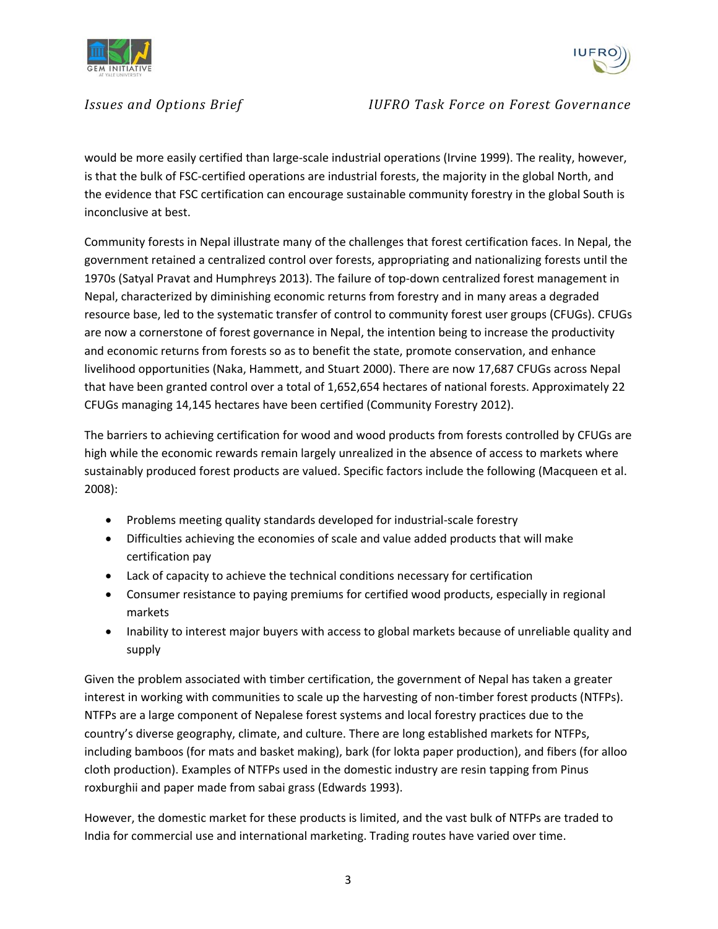



would be more easily certified than large-scale industrial operations (Irvine 1999). The reality, however, is that the bulk of FSC‐certified operations are industrial forests, the majority in the global North, and the evidence that FSC certification can encourage sustainable community forestry in the global South is inconclusive at best.

Community forests in Nepal illustrate many of the challenges that forest certification faces. In Nepal, the government retained a centralized control over forests, appropriating and nationalizing forests until the 1970s (Satyal Pravat and Humphreys 2013). The failure of top‐down centralized forest management in Nepal, characterized by diminishing economic returns from forestry and in many areas a degraded resource base, led to the systematic transfer of control to community forest user groups (CFUGs). CFUGs are now a cornerstone of forest governance in Nepal, the intention being to increase the productivity and economic returns from forests so as to benefit the state, promote conservation, and enhance livelihood opportunities (Naka, Hammett, and Stuart 2000). There are now 17,687 CFUGs across Nepal that have been granted control over a total of 1,652,654 hectares of national forests. Approximately 22 CFUGs managing 14,145 hectares have been certified (Community Forestry 2012).

The barriers to achieving certification for wood and wood products from forests controlled by CFUGs are high while the economic rewards remain largely unrealized in the absence of access to markets where sustainably produced forest products are valued. Specific factors include the following (Macqueen et al. 2008):

- Problems meeting quality standards developed for industrial-scale forestry
- Difficulties achieving the economies of scale and value added products that will make certification pay
- Lack of capacity to achieve the technical conditions necessary for certification
- Consumer resistance to paying premiums for certified wood products, especially in regional markets
- Inability to interest major buyers with access to global markets because of unreliable quality and supply

Given the problem associated with timber certification, the government of Nepal has taken a greater interest in working with communities to scale up the harvesting of non-timber forest products (NTFPs). NTFPs are a large component of Nepalese forest systems and local forestry practices due to the country's diverse geography, climate, and culture. There are long established markets for NTFPs, including bamboos (for mats and basket making), bark (for lokta paper production), and fibers (for alloo cloth production). Examples of NTFPs used in the domestic industry are resin tapping from Pinus roxburghii and paper made from sabai grass (Edwards 1993).

However, the domestic market for these products is limited, and the vast bulk of NTFPs are traded to India for commercial use and international marketing. Trading routes have varied over time.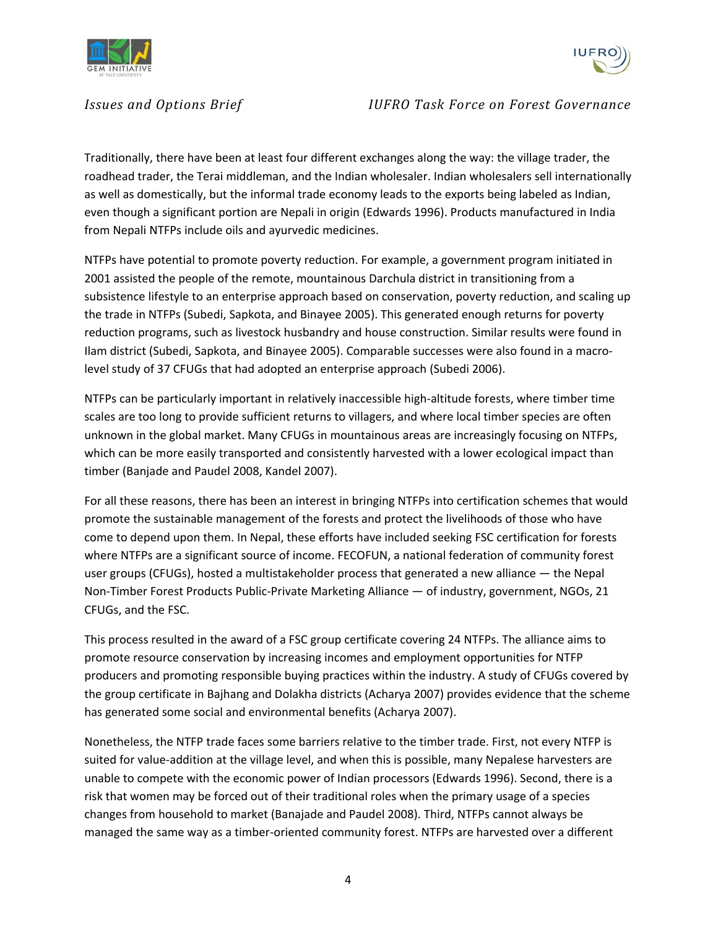



Traditionally, there have been at least four different exchanges along the way: the village trader, the roadhead trader, the Terai middleman, and the Indian wholesaler. Indian wholesalers sell internationally as well as domestically, but the informal trade economy leads to the exports being labeled as Indian, even though a significant portion are Nepali in origin (Edwards 1996). Products manufactured in India from Nepali NTFPs include oils and ayurvedic medicines.

NTFPs have potential to promote poverty reduction. For example, a government program initiated in 2001 assisted the people of the remote, mountainous Darchula district in transitioning from a subsistence lifestyle to an enterprise approach based on conservation, poverty reduction, and scaling up the trade in NTFPs (Subedi, Sapkota, and Binayee 2005). This generated enough returns for poverty reduction programs, such as livestock husbandry and house construction. Similar results were found in Ilam district (Subedi, Sapkota, and Binayee 2005). Comparable successes were also found in a macro‐ level study of 37 CFUGs that had adopted an enterprise approach (Subedi 2006).

NTFPs can be particularly important in relatively inaccessible high‐altitude forests, where timber time scales are too long to provide sufficient returns to villagers, and where local timber species are often unknown in the global market. Many CFUGs in mountainous areas are increasingly focusing on NTFPs, which can be more easily transported and consistently harvested with a lower ecological impact than timber (Banjade and Paudel 2008, Kandel 2007).

For all these reasons, there has been an interest in bringing NTFPs into certification schemes that would promote the sustainable management of the forests and protect the livelihoods of those who have come to depend upon them. In Nepal, these efforts have included seeking FSC certification for forests where NTFPs are a significant source of income. FECOFUN, a national federation of community forest user groups (CFUGs), hosted a multistakeholder process that generated a new alliance — the Nepal Non‐Timber Forest Products Public‐Private Marketing Alliance — of industry, government, NGOs, 21 CFUGs, and the FSC.

This process resulted in the award of a FSC group certificate covering 24 NTFPs. The alliance aims to promote resource conservation by increasing incomes and employment opportunities for NTFP producers and promoting responsible buying practices within the industry. A study of CFUGs covered by the group certificate in Bajhang and Dolakha districts (Acharya 2007) provides evidence that the scheme has generated some social and environmental benefits (Acharya 2007).

Nonetheless, the NTFP trade faces some barriers relative to the timber trade. First, not every NTFP is suited for value‐addition at the village level, and when this is possible, many Nepalese harvesters are unable to compete with the economic power of Indian processors (Edwards 1996). Second, there is a risk that women may be forced out of their traditional roles when the primary usage of a species changes from household to market (Banajade and Paudel 2008). Third, NTFPs cannot always be managed the same way as a timber‐oriented community forest. NTFPs are harvested over a different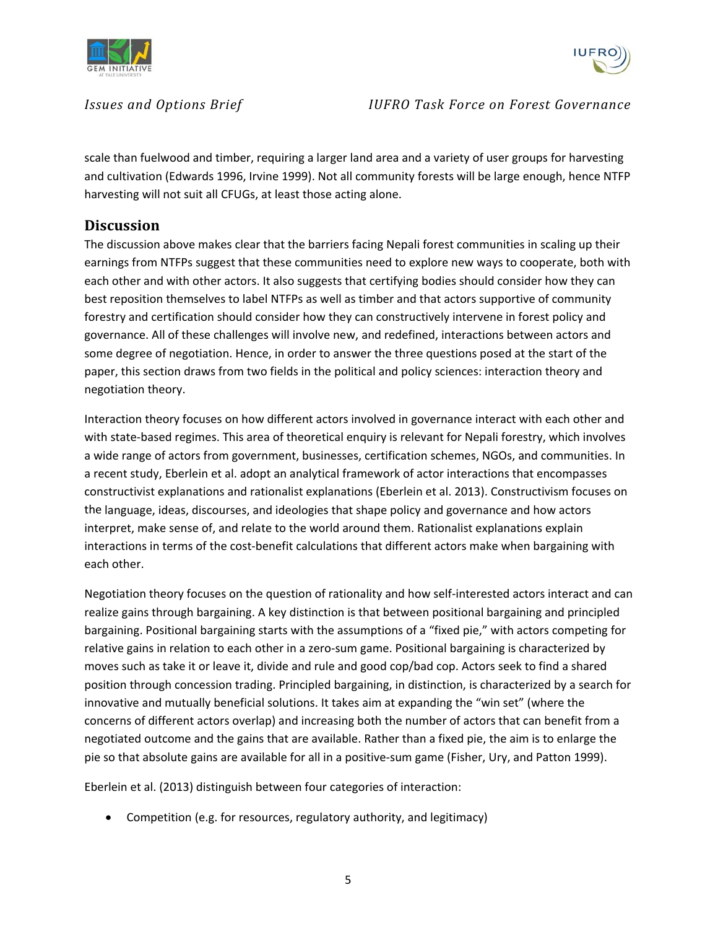



scale than fuelwood and timber, requiring a larger land area and a variety of user groups for harvesting and cultivation (Edwards 1996, Irvine 1999). Not all community forests will be large enough, hence NTFP harvesting will not suit all CFUGs, at least those acting alone.

# **Discussion**

The discussion above makes clear that the barriers facing Nepali forest communities in scaling up their earnings from NTFPs suggest that these communities need to explore new ways to cooperate, both with each other and with other actors. It also suggests that certifying bodies should consider how they can best reposition themselves to label NTFPs as well as timber and that actors supportive of community forestry and certification should consider how they can constructively intervene in forest policy and governance. All of these challenges will involve new, and redefined, interactions between actors and some degree of negotiation. Hence, in order to answer the three questions posed at the start of the paper, this section draws from two fields in the political and policy sciences: interaction theory and negotiation theory.

Interaction theory focuses on how different actors involved in governance interact with each other and with state-based regimes. This area of theoretical enquiry is relevant for Nepali forestry, which involves a wide range of actors from government, businesses, certification schemes, NGOs, and communities. In a recent study, Eberlein et al. adopt an analytical framework of actor interactions that encompasses constructivist explanations and rationalist explanations (Eberlein et al. 2013). Constructivism focuses on the language, ideas, discourses, and ideologies that shape policy and governance and how actors interpret, make sense of, and relate to the world around them. Rationalist explanations explain interactions in terms of the cost-benefit calculations that different actors make when bargaining with each other.

Negotiation theory focuses on the question of rationality and how self-interested actors interact and can realize gains through bargaining. A key distinction is that between positional bargaining and principled bargaining. Positional bargaining starts with the assumptions of a "fixed pie," with actors competing for relative gains in relation to each other in a zero-sum game. Positional bargaining is characterized by moves such as take it or leave it, divide and rule and good cop/bad cop. Actors seek to find a shared position through concession trading. Principled bargaining, in distinction, is characterized by a search for innovative and mutually beneficial solutions. It takes aim at expanding the "win set" (where the concerns of different actors overlap) and increasing both the number of actors that can benefit from a negotiated outcome and the gains that are available. Rather than a fixed pie, the aim is to enlarge the pie so that absolute gains are available for all in a positive‐sum game (Fisher, Ury, and Patton 1999).

Eberlein et al. (2013) distinguish between four categories of interaction:

Competition (e.g. for resources, regulatory authority, and legitimacy)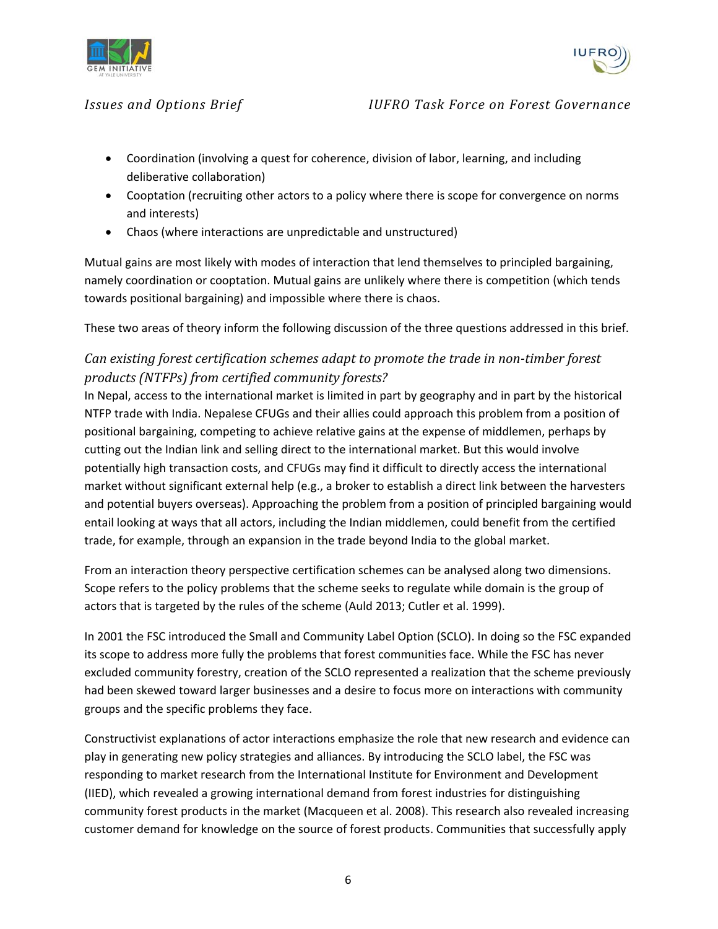



- Coordination (involving a quest for coherence, division of labor, learning, and including deliberative collaboration)
- Cooptation (recruiting other actors to a policy where there is scope for convergence on norms and interests)
- Chaos (where interactions are unpredictable and unstructured)

Mutual gains are most likely with modes of interaction that lend themselves to principled bargaining, namely coordination or cooptation. Mutual gains are unlikely where there is competition (which tends towards positional bargaining) and impossible where there is chaos.

These two areas of theory inform the following discussion of the three questions addressed in this brief.

# *Can existing forest certification schemes adapt to promote the trade in non‐timber forest products (NTFPs) from certified community forests?*

In Nepal, access to the international market is limited in part by geography and in part by the historical NTFP trade with India. Nepalese CFUGs and their allies could approach this problem from a position of positional bargaining, competing to achieve relative gains at the expense of middlemen, perhaps by cutting out the Indian link and selling direct to the international market. But this would involve potentially high transaction costs, and CFUGs may find it difficult to directly access the international market without significant external help (e.g., a broker to establish a direct link between the harvesters and potential buyers overseas). Approaching the problem from a position of principled bargaining would entail looking at ways that all actors, including the Indian middlemen, could benefit from the certified trade, for example, through an expansion in the trade beyond India to the global market.

From an interaction theory perspective certification schemes can be analysed along two dimensions. Scope refers to the policy problems that the scheme seeks to regulate while domain is the group of actors that is targeted by the rules of the scheme (Auld 2013; Cutler et al. 1999).

In 2001 the FSC introduced the Small and Community Label Option (SCLO). In doing so the FSC expanded its scope to address more fully the problems that forest communities face. While the FSC has never excluded community forestry, creation of the SCLO represented a realization that the scheme previously had been skewed toward larger businesses and a desire to focus more on interactions with community groups and the specific problems they face.

Constructivist explanations of actor interactions emphasize the role that new research and evidence can play in generating new policy strategies and alliances. By introducing the SCLO label, the FSC was responding to market research from the International Institute for Environment and Development (IIED), which revealed a growing international demand from forest industries for distinguishing community forest products in the market (Macqueen et al. 2008). This research also revealed increasing customer demand for knowledge on the source of forest products. Communities that successfully apply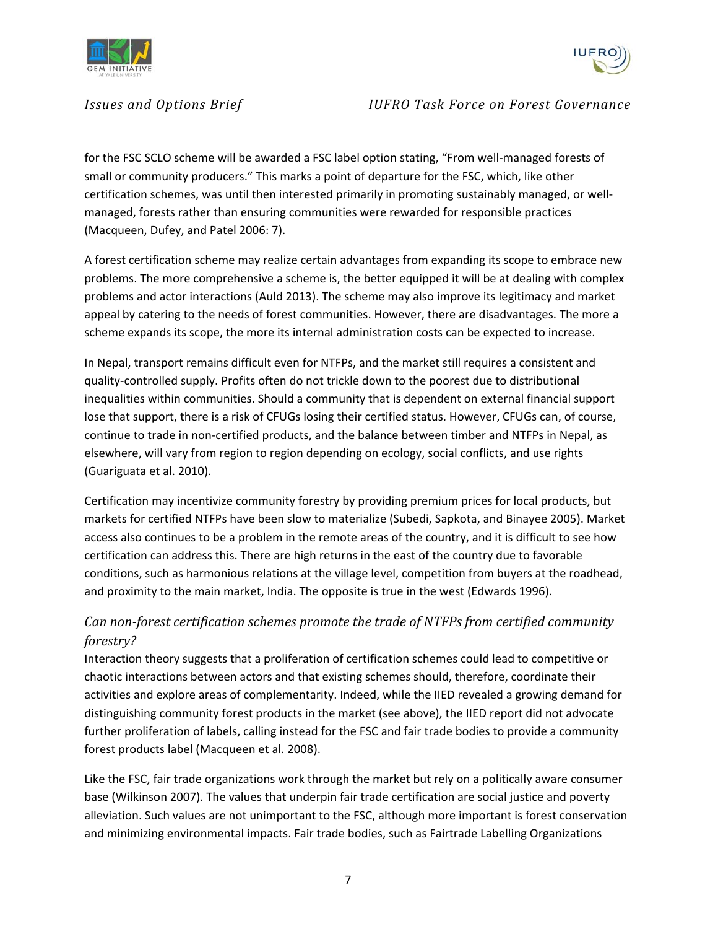



for the FSC SCLO scheme will be awarded a FSC label option stating, "From well-managed forests of small or community producers." This marks a point of departure for the FSC, which, like other certification schemes, was until then interested primarily in promoting sustainably managed, or wellmanaged, forests rather than ensuring communities were rewarded for responsible practices (Macqueen, Dufey, and Patel 2006: 7).

A forest certification scheme may realize certain advantages from expanding its scope to embrace new problems. The more comprehensive a scheme is, the better equipped it will be at dealing with complex problems and actor interactions (Auld 2013). The scheme may also improve its legitimacy and market appeal by catering to the needs of forest communities. However, there are disadvantages. The more a scheme expands its scope, the more its internal administration costs can be expected to increase.

In Nepal, transport remains difficult even for NTFPs, and the market still requires a consistent and quality‐controlled supply. Profits often do not trickle down to the poorest due to distributional inequalities within communities. Should a community that is dependent on external financial support lose that support, there is a risk of CFUGs losing their certified status. However, CFUGs can, of course, continue to trade in non-certified products, and the balance between timber and NTFPs in Nepal, as elsewhere, will vary from region to region depending on ecology, social conflicts, and use rights (Guariguata et al. 2010).

Certification may incentivize community forestry by providing premium prices for local products, but markets for certified NTFPs have been slow to materialize (Subedi, Sapkota, and Binayee 2005). Market access also continues to be a problem in the remote areas of the country, and it is difficult to see how certification can address this. There are high returns in the east of the country due to favorable conditions, such as harmonious relations at the village level, competition from buyers at the roadhead, and proximity to the main market, India. The opposite is true in the west (Edwards 1996).

# *Can non‐forest certification schemes promote the trade of NTFPs from certified community forestry?*

Interaction theory suggests that a proliferation of certification schemes could lead to competitive or chaotic interactions between actors and that existing schemes should, therefore, coordinate their activities and explore areas of complementarity. Indeed, while the IIED revealed a growing demand for distinguishing community forest products in the market (see above), the IIED report did not advocate further proliferation of labels, calling instead for the FSC and fair trade bodies to provide a community forest products label (Macqueen et al. 2008).

Like the FSC, fair trade organizations work through the market but rely on a politically aware consumer base (Wilkinson 2007). The values that underpin fair trade certification are social justice and poverty alleviation. Such values are not unimportant to the FSC, although more important is forest conservation and minimizing environmental impacts. Fair trade bodies, such as Fairtrade Labelling Organizations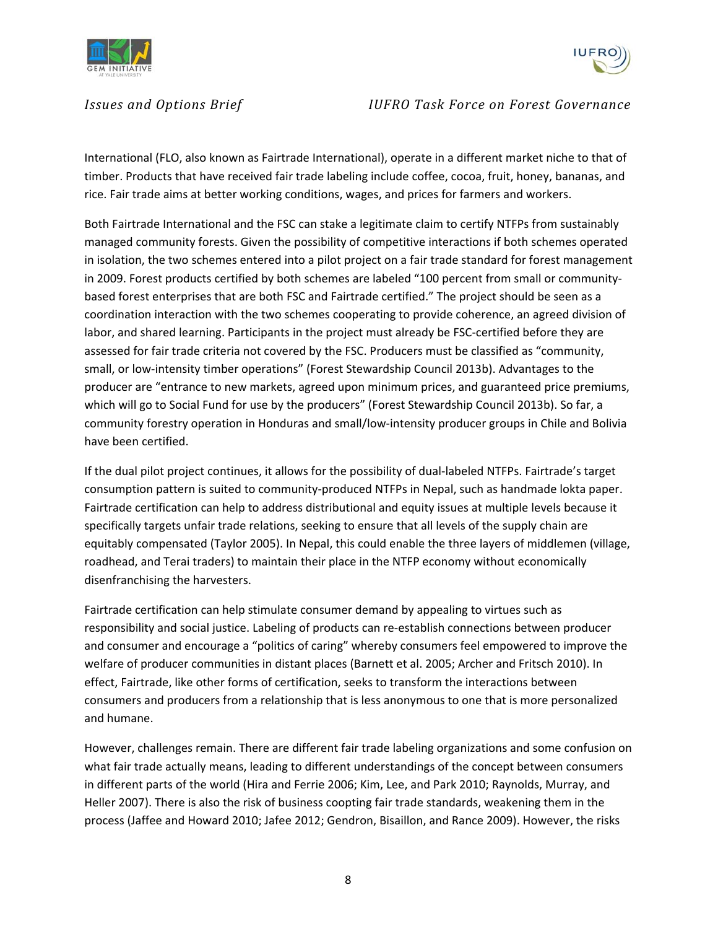



International (FLO, also known as Fairtrade International), operate in a different market niche to that of timber. Products that have received fair trade labeling include coffee, cocoa, fruit, honey, bananas, and rice. Fair trade aims at better working conditions, wages, and prices for farmers and workers.

Both Fairtrade International and the FSC can stake a legitimate claim to certify NTFPs from sustainably managed community forests. Given the possibility of competitive interactions if both schemes operated in isolation, the two schemes entered into a pilot project on a fair trade standard for forest management in 2009. Forest products certified by both schemes are labeled "100 percent from small or community‐ based forest enterprises that are both FSC and Fairtrade certified." The project should be seen as a coordination interaction with the two schemes cooperating to provide coherence, an agreed division of labor, and shared learning. Participants in the project must already be FSC-certified before they are assessed for fair trade criteria not covered by the FSC. Producers must be classified as "community, small, or low-intensity timber operations" (Forest Stewardship Council 2013b). Advantages to the producer are "entrance to new markets, agreed upon minimum prices, and guaranteed price premiums, which will go to Social Fund for use by the producers" (Forest Stewardship Council 2013b). So far, a community forestry operation in Honduras and small/low‐intensity producer groups in Chile and Bolivia have been certified.

If the dual pilot project continues, it allows for the possibility of dual‐labeled NTFPs. Fairtrade's target consumption pattern is suited to community‐produced NTFPs in Nepal, such as handmade lokta paper. Fairtrade certification can help to address distributional and equity issues at multiple levels because it specifically targets unfair trade relations, seeking to ensure that all levels of the supply chain are equitably compensated (Taylor 2005). In Nepal, this could enable the three layers of middlemen (village, roadhead, and Terai traders) to maintain their place in the NTFP economy without economically disenfranchising the harvesters.

Fairtrade certification can help stimulate consumer demand by appealing to virtues such as responsibility and social justice. Labeling of products can re‐establish connections between producer and consumer and encourage a "politics of caring" whereby consumers feel empowered to improve the welfare of producer communities in distant places (Barnett et al. 2005; Archer and Fritsch 2010). In effect, Fairtrade, like other forms of certification, seeks to transform the interactions between consumers and producers from a relationship that is less anonymous to one that is more personalized and humane.

However, challenges remain. There are different fair trade labeling organizations and some confusion on what fair trade actually means, leading to different understandings of the concept between consumers in different parts of the world (Hira and Ferrie 2006; Kim, Lee, and Park 2010; Raynolds, Murray, and Heller 2007). There is also the risk of business coopting fair trade standards, weakening them in the process (Jaffee and Howard 2010; Jafee 2012; Gendron, Bisaillon, and Rance 2009). However, the risks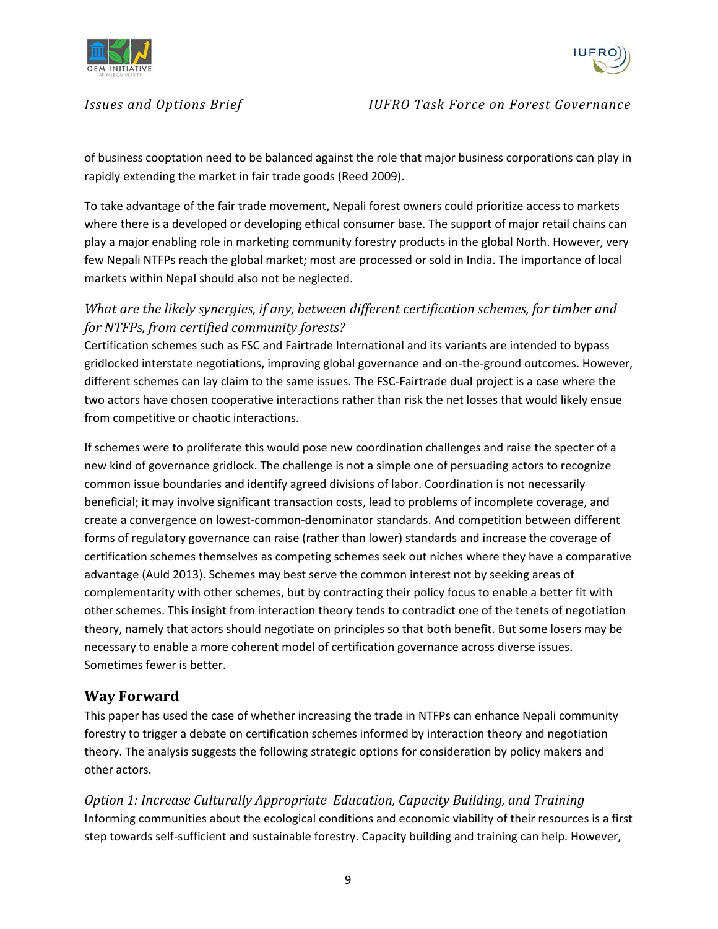



of business cooptation need to be balanced against the role that major business corporations can play in rapidly extending the market in fair trade goods (Reed 2009).

To take advantage of the fair trade movement, Nepali forest owners could prioritize access to markets where there is a developed or developing ethical consumer base. The support of major retail chains can play a major enabling role in marketing community forestry products in the global North. However, very few Nepali NTFPs reach the global market; most are processed or sold in India. The importance of local markets within Nepal should also not be neglected.

# *What are the likely synergies, if any, between different certification schemes, for timber and for NTFPs, from certified community forests?*

Certification schemes such as FSC and Fairtrade International and its variants are intended to bypass gridlocked interstate negotiations, improving global governance and on‐the‐ground outcomes. However, different schemes can lay claim to the same issues. The FSC‐Fairtrade dual project is a case where the two actors have chosen cooperative interactions rather than risk the net losses that would likely ensue from competitive or chaotic interactions.

If schemes were to proliferate this would pose new coordination challenges and raise the specter of a new kind of governance gridlock. The challenge is not a simple one of persuading actors to recognize common issue boundaries and identify agreed divisions of labor. Coordination is not necessarily beneficial; it may involve significant transaction costs, lead to problems of incomplete coverage, and create a convergence on lowest‐common‐denominator standards. And competition between different forms of regulatory governance can raise (rather than lower) standards and increase the coverage of certification schemes themselves as competing schemes seek out niches where they have a comparative advantage (Auld 2013). Schemes may best serve the common interest not by seeking areas of complementarity with other schemes, but by contracting their policy focus to enable a better fit with other schemes. This insight from interaction theory tends to contradict one of the tenets of negotiation theory, namely that actors should negotiate on principles so that both benefit. But some losers may be necessary to enable a more coherent model of certification governance across diverse issues. Sometimes fewer is better.

# **Way Forward**

This paper has used the case of whether increasing the trade in NTFPs can enhance Nepali community forestry to trigger a debate on certification schemes informed by interaction theory and negotiation theory. The analysis suggests the following strategic options for consideration by policy makers and other actors.

*Option 1: Increase Culturally Appropriate Education, Capacity Building, and Training* Informing communities about the ecological conditions and economic viability of their resources is a first step towards self‐sufficient and sustainable forestry. Capacity building and training can help. However,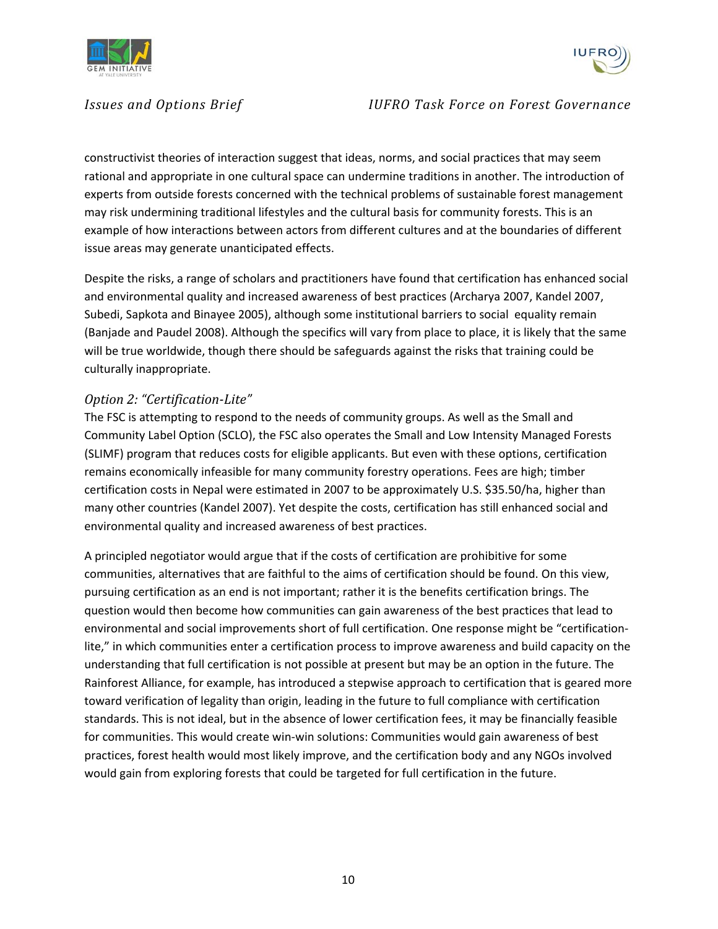



constructivist theories of interaction suggest that ideas, norms, and social practices that may seem rational and appropriate in one cultural space can undermine traditions in another. The introduction of experts from outside forests concerned with the technical problems of sustainable forest management may risk undermining traditional lifestyles and the cultural basis for community forests. This is an example of how interactions between actors from different cultures and at the boundaries of different issue areas may generate unanticipated effects.

Despite the risks, a range of scholars and practitioners have found that certification has enhanced social and environmental quality and increased awareness of best practices (Archarya 2007, Kandel 2007, Subedi, Sapkota and Binayee 2005), although some institutional barriers to social equality remain (Banjade and Paudel 2008). Although the specifics will vary from place to place, it is likely that the same will be true worldwide, though there should be safeguards against the risks that training could be culturally inappropriate.

### *Option 2: "Certification‐Lite"*

The FSC is attempting to respond to the needs of community groups. As well as the Small and Community Label Option (SCLO), the FSC also operates the Small and Low Intensity Managed Forests (SLIMF) program that reduces costs for eligible applicants. But even with these options, certification remains economically infeasible for many community forestry operations. Fees are high; timber certification costs in Nepal were estimated in 2007 to be approximately U.S. \$35.50/ha, higher than many other countries (Kandel 2007). Yet despite the costs, certification has still enhanced social and environmental quality and increased awareness of best practices.

A principled negotiator would argue that if the costs of certification are prohibitive for some communities, alternatives that are faithful to the aims of certification should be found. On this view, pursuing certification as an end is not important; rather it is the benefits certification brings. The question would then become how communities can gain awareness of the best practices that lead to environmental and social improvements short of full certification. One response might be "certification‐ lite," in which communities enter a certification process to improve awareness and build capacity on the understanding that full certification is not possible at present but may be an option in the future. The Rainforest Alliance, for example, has introduced a stepwise approach to certification that is geared more toward verification of legality than origin, leading in the future to full compliance with certification standards. This is not ideal, but in the absence of lower certification fees, it may be financially feasible for communities. This would create win-win solutions: Communities would gain awareness of best practices, forest health would most likely improve, and the certification body and any NGOs involved would gain from exploring forests that could be targeted for full certification in the future.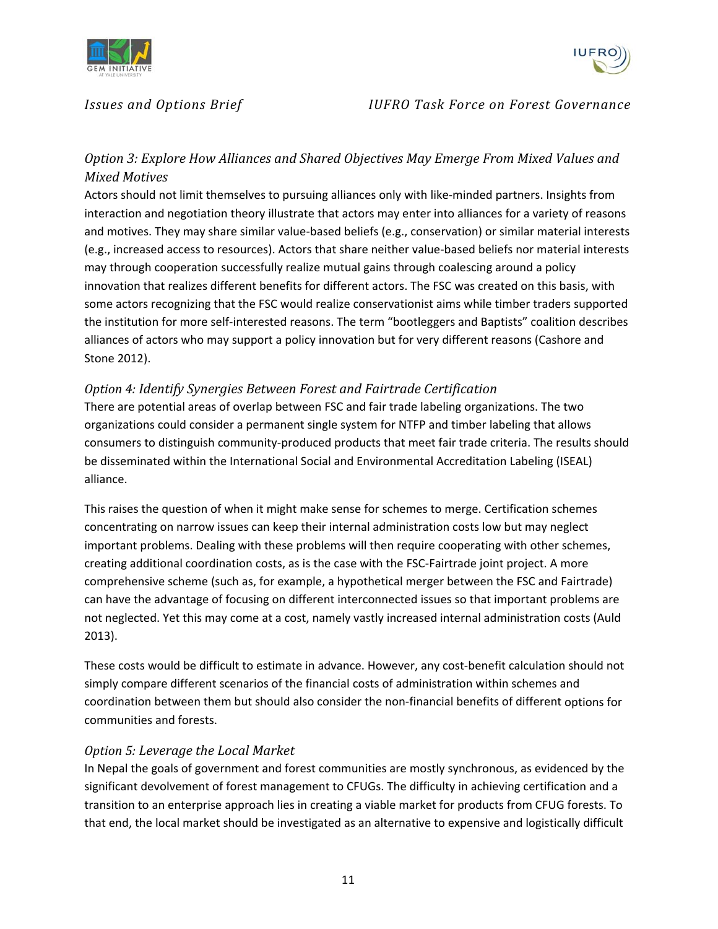



# *Option 3: Explore How Alliances and Shared Objectives May Emerge From Mixed Values and Mixed Motives*

Actors should not limit themselves to pursuing alliances only with like-minded partners. Insights from interaction and negotiation theory illustrate that actors may enter into alliances for a variety of reasons and motives. They may share similar value-based beliefs (e.g., conservation) or similar material interests (e.g., increased access to resources). Actors that share neither value‐based beliefs nor material interests may through cooperation successfully realize mutual gains through coalescing around a policy innovation that realizes different benefits for different actors. The FSC was created on this basis, with some actors recognizing that the FSC would realize conservationist aims while timber traders supported the institution for more self-interested reasons. The term "bootleggers and Baptists" coalition describes alliances of actors who may support a policy innovation but for very different reasons (Cashore and Stone 2012).

### *Option 4: Identify Synergies Between Forest and Fairtrade Certification*

There are potential areas of overlap between FSC and fair trade labeling organizations. The two organizations could consider a permanent single system for NTFP and timber labeling that allows consumers to distinguish community‐produced products that meet fair trade criteria. The results should be disseminated within the International Social and Environmental Accreditation Labeling (ISEAL) alliance.

This raises the question of when it might make sense for schemes to merge. Certification schemes concentrating on narrow issues can keep their internal administration costs low but may neglect important problems. Dealing with these problems will then require cooperating with other schemes, creating additional coordination costs, as is the case with the FSC‐Fairtrade joint project. A more comprehensive scheme (such as, for example, a hypothetical merger between the FSC and Fairtrade) can have the advantage of focusing on different interconnected issues so that important problems are not neglected. Yet this may come at a cost, namely vastly increased internal administration costs (Auld 2013).

These costs would be difficult to estimate in advance. However, any cost‐benefit calculation should not simply compare different scenarios of the financial costs of administration within schemes and coordination between them but should also consider the non‐financial benefits of different options for communities and forests.

### *Option 5: Leverage the Local Market*

In Nepal the goals of government and forest communities are mostly synchronous, as evidenced by the significant devolvement of forest management to CFUGs. The difficulty in achieving certification and a transition to an enterprise approach lies in creating a viable market for products from CFUG forests. To that end, the local market should be investigated as an alternative to expensive and logistically difficult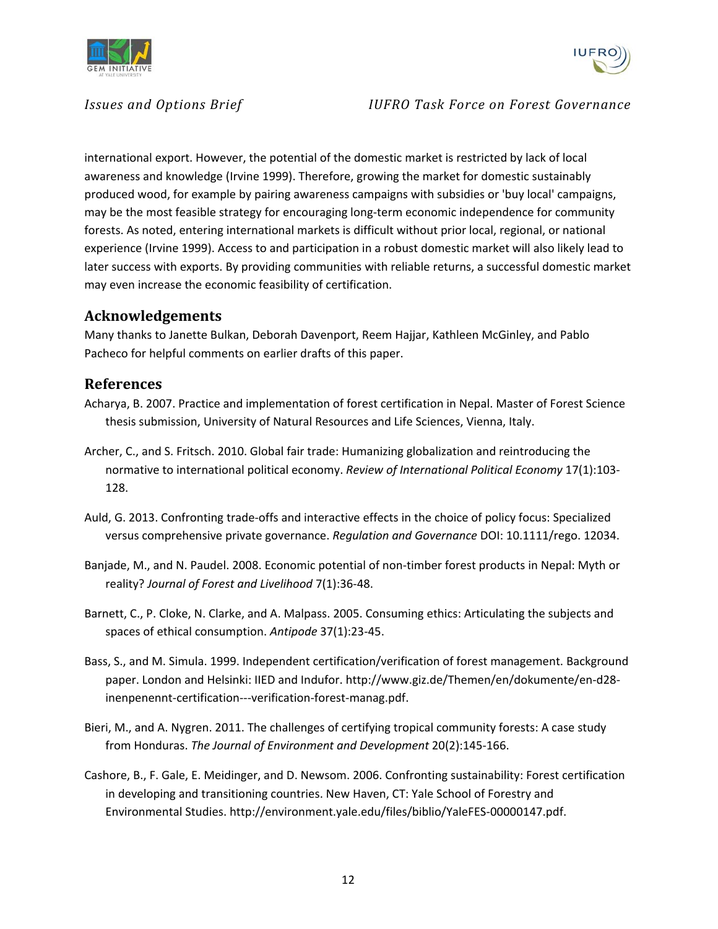



international export. However, the potential of the domestic market is restricted by lack of local awareness and knowledge (Irvine 1999). Therefore, growing the market for domestic sustainably produced wood, for example by pairing awareness campaigns with subsidies or 'buy local' campaigns, may be the most feasible strategy for encouraging long-term economic independence for community forests. As noted, entering international markets is difficult without prior local, regional, or national experience (Irvine 1999). Access to and participation in a robust domestic market will also likely lead to later success with exports. By providing communities with reliable returns, a successful domestic market may even increase the economic feasibility of certification.

# **Acknowledgements**

Many thanks to Janette Bulkan, Deborah Davenport, Reem Hajjar, Kathleen McGinley, and Pablo Pacheco for helpful comments on earlier drafts of this paper.

### **References**

- Acharya, B. 2007. Practice and implementation of forest certification in Nepal. Master of Forest Science thesis submission, University of Natural Resources and Life Sciences, Vienna, Italy.
- Archer, C., and S. Fritsch. 2010. Global fair trade: Humanizing globalization and reintroducing the normative to international political economy. *Review of International Political Economy* 17(1):103‐ 128.
- Auld, G. 2013. Confronting trade‐offs and interactive effects in the choice of policy focus: Specialized versus comprehensive private governance. *Regulation and Governance* DOI: 10.1111/rego. 12034.
- Banjade, M., and N. Paudel. 2008. Economic potential of non-timber forest products in Nepal: Myth or reality? *Journal of Forest and Livelihood* 7(1):36‐48.
- Barnett, C., P. Cloke, N. Clarke, and A. Malpass. 2005. Consuming ethics: Articulating the subjects and spaces of ethical consumption. *Antipode* 37(1):23‐45.
- Bass, S., and M. Simula. 1999. Independent certification/verification of forest management. Background paper. London and Helsinki: IIED and Indufor. http://www.giz.de/Themen/en/dokumente/en‐d28‐ inenpenennt-certification---verification-forest-manag.pdf.
- Bieri, M., and A. Nygren. 2011. The challenges of certifying tropical community forests: A case study from Honduras. *The Journal of Environment and Development* 20(2):145‐166.
- Cashore, B., F. Gale, E. Meidinger, and D. Newsom. 2006. Confronting sustainability: Forest certification in developing and transitioning countries. New Haven, CT: Yale School of Forestry and Environmental Studies. http://environment.yale.edu/files/biblio/YaleFES‐00000147.pdf.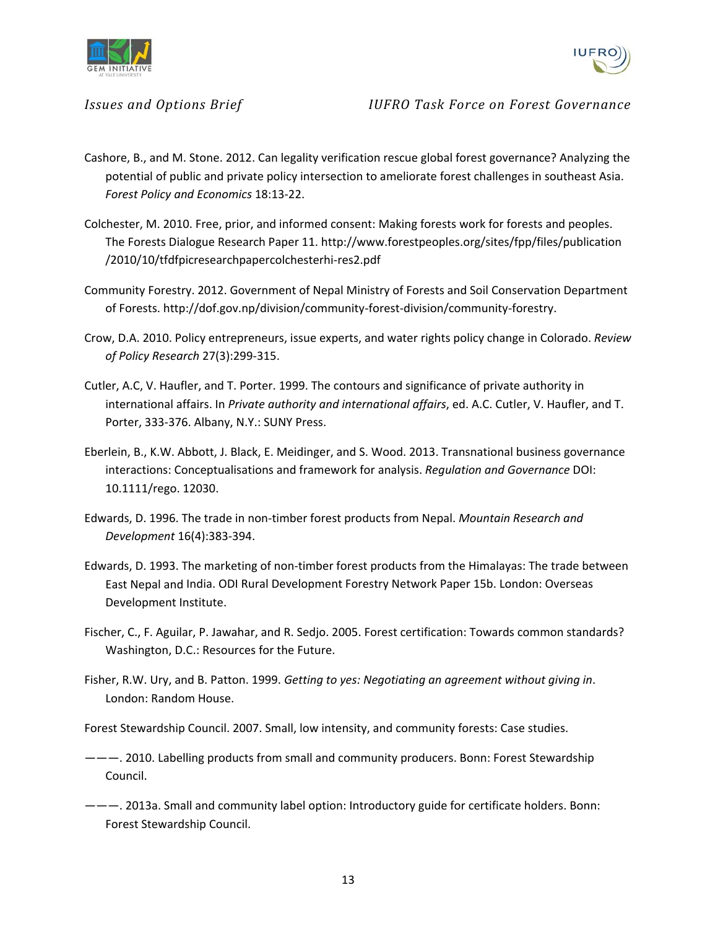



- Cashore, B., and M. Stone. 2012. Can legality verification rescue global forest governance? Analyzing the potential of public and private policy intersection to ameliorate forest challenges in southeast Asia. *Forest Policy and Economics* 18:13‐22.
- Colchester, M. 2010. Free, prior, and informed consent: Making forests work for forests and peoples. The Forests Dialogue Research Paper 11. http://www.forestpeoples.org/sites/fpp/files/publication /2010/10/tfdfpicresearchpapercolchesterhi‐res2.pdf
- Community Forestry. 2012. Government of Nepal Ministry of Forests and Soil Conservation Department of Forests. http://dof.gov.np/division/community‐forest‐division/community‐forestry.
- Crow, D.A. 2010. Policy entrepreneurs, issue experts, and water rights policy change in Colorado. *Review of Policy Research* 27(3):299‐315.
- Cutler, A.C, V. Haufler, and T. Porter. 1999. The contours and significance of private authority in international affairs. In *Private authority and international affairs*, ed. A.C. Cutler, V. Haufler, and T. Porter, 333‐376. Albany, N.Y.: SUNY Press.
- Eberlein, B., K.W. Abbott, J. Black, E. Meidinger, and S. Wood. 2013. Transnational business governance interactions: Conceptualisations and framework for analysis. *Regulation and Governance* DOI: 10.1111/rego. 12030.
- Edwards, D. 1996. The trade in non‐timber forest products from Nepal. *Mountain Research and Development* 16(4):383‐394.
- Edwards, D. 1993. The marketing of non‐timber forest products from the Himalayas: The trade between East Nepal and India. ODI Rural Development Forestry Network Paper 15b. London: Overseas Development Institute.
- Fischer, C., F. Aguilar, P. Jawahar, and R. Sedjo. 2005. Forest certification: Towards common standards? Washington, D.C.: Resources for the Future.
- Fisher, R.W. Ury, and B. Patton. 1999. *Getting to yes: Negotiating an agreement without giving in*. London: Random House.
- Forest Stewardship Council. 2007. Small, low intensity, and community forests: Case studies.
- ———. 2010. Labelling products from small and community producers. Bonn: Forest Stewardship Council.
- ———. 2013a. Small and community label option: Introductory guide for certificate holders. Bonn: Forest Stewardship Council.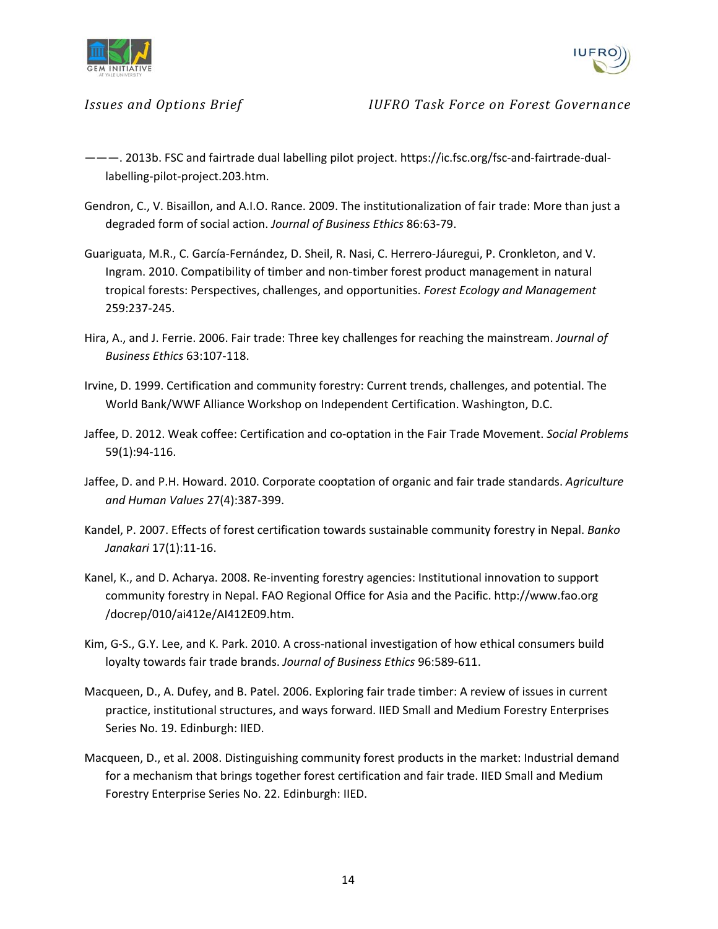



- ———. 2013b. FSC and fairtrade dual labelling pilot project. https://ic.fsc.org/fsc-and-fairtrade-duallabelling‐pilot‐project.203.htm.
- Gendron, C., V. Bisaillon, and A.I.O. Rance. 2009. The institutionalization of fair trade: More than just a degraded form of social action. *Journal of Business Ethics* 86:63‐79.
- Guariguata, M.R., C. García‐Fernández, D. Sheil, R. Nasi, C. Herrero‐Jáuregui, P. Cronkleton, and V. Ingram. 2010. Compatibility of timber and non‐timber forest product management in natural tropical forests: Perspectives, challenges, and opportunities. *Forest Ecology and Management* 259:237‐245.
- Hira, A., and J. Ferrie. 2006. Fair trade: Three key challenges for reaching the mainstream. *Journal of Business Ethics* 63:107‐118.
- Irvine, D. 1999. Certification and community forestry: Current trends, challenges, and potential. The World Bank/WWF Alliance Workshop on Independent Certification. Washington, D.C.
- Jaffee, D. 2012. Weak coffee: Certification and co‐optation in the Fair Trade Movement. *Social Problems* 59(1):94‐116.
- Jaffee, D. and P.H. Howard. 2010. Corporate cooptation of organic and fair trade standards. *Agriculture and Human Values* 27(4):387‐399.
- Kandel, P. 2007. Effects of forest certification towards sustainable community forestry in Nepal. *Banko Janakari* 17(1):11‐16.
- Kanel, K., and D. Acharya. 2008. Re‐inventing forestry agencies: Institutional innovation to support community forestry in Nepal. FAO Regional Office for Asia and the Pacific. http://www.fao.org /docrep/010/ai412e/AI412E09.htm.
- Kim, G‐S., G.Y. Lee, and K. Park. 2010. A cross‐national investigation of how ethical consumers build loyalty towards fair trade brands. *Journal of Business Ethics* 96:589‐611.
- Macqueen, D., A. Dufey, and B. Patel. 2006. Exploring fair trade timber: A review of issues in current practice, institutional structures, and ways forward. IIED Small and Medium Forestry Enterprises Series No. 19. Edinburgh: IIED.
- Macqueen, D., et al. 2008. Distinguishing community forest products in the market: Industrial demand for a mechanism that brings together forest certification and fair trade. IIED Small and Medium Forestry Enterprise Series No. 22. Edinburgh: IIED.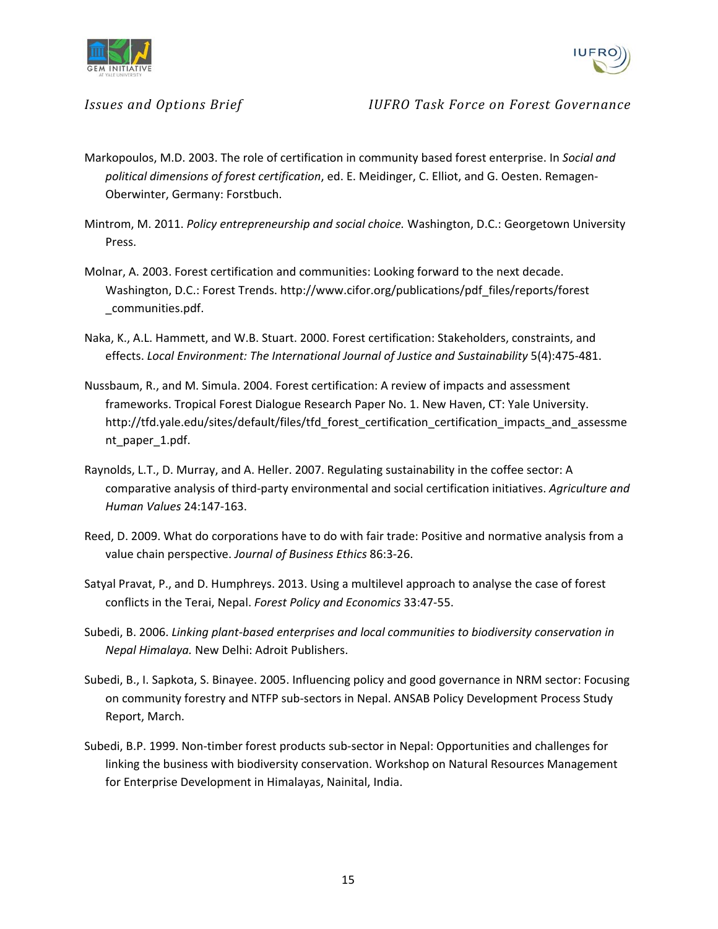



- Markopoulos, M.D. 2003. The role of certification in community based forest enterprise. In *Social and political dimensions of forest certification*, ed. E. Meidinger, C. Elliot, and G. Oesten. Remagen‐ Oberwinter, Germany: Forstbuch.
- Mintrom, M. 2011. *Policy entrepreneurship and social choice.* Washington, D.C.: Georgetown University Press.
- Molnar, A. 2003. Forest certification and communities: Looking forward to the next decade. Washington, D.C.: Forest Trends. http://www.cifor.org/publications/pdf\_files/reports/forest \_communities.pdf.
- Naka, K., A.L. Hammett, and W.B. Stuart. 2000. Forest certification: Stakeholders, constraints, and effects. *Local Environment: The International Journal of Justice and Sustainability* 5(4):475‐481.
- Nussbaum, R., and M. Simula. 2004. Forest certification: A review of impacts and assessment frameworks. Tropical Forest Dialogue Research Paper No. 1. New Haven, CT: Yale University. http://tfd.yale.edu/sites/default/files/tfd\_forest\_certification\_certification\_impacts\_and\_assessme nt paper 1.pdf.
- Raynolds, L.T., D. Murray, and A. Heller. 2007. Regulating sustainability in the coffee sector: A comparative analysis of third‐party environmental and social certification initiatives. *Agriculture and Human Values* 24:147‐163.
- Reed, D. 2009. What do corporations have to do with fair trade: Positive and normative analysis from a value chain perspective. *Journal of Business Ethics* 86:3‐26.
- Satyal Pravat, P., and D. Humphreys. 2013. Using a multilevel approach to analyse the case of forest conflicts in the Terai, Nepal. *Forest Policy and Economics* 33:47‐55.
- Subedi, B. 2006. *Linking plant‐based enterprises and local communities to biodiversity conservation in Nepal Himalaya.* New Delhi: Adroit Publishers.
- Subedi, B., I. Sapkota, S. Binayee. 2005. Influencing policy and good governance in NRM sector: Focusing on community forestry and NTFP sub‐sectors in Nepal. ANSAB Policy Development Process Study Report, March.
- Subedi, B.P. 1999. Non‐timber forest products sub‐sector in Nepal: Opportunities and challenges for linking the business with biodiversity conservation. Workshop on Natural Resources Management for Enterprise Development in Himalayas, Nainital, India.